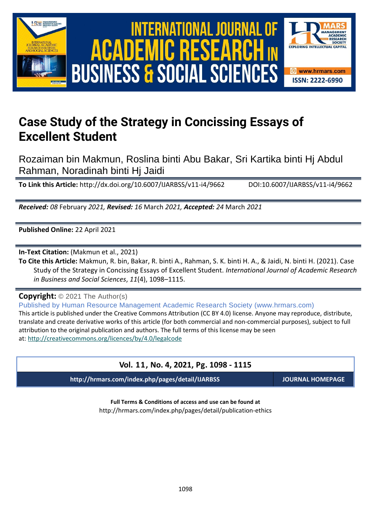



# **Case Study of the Strategy in Concissing Essays of Excellent Student**

Rozaiman bin Makmun, Roslina binti Abu Bakar, Sri Kartika binti Hj Abdul Rahman, Noradinah binti Hj Jaidi

**To Link this Article:** http://dx.doi.org/10.6007/IJARBSS/v11-i4/9662 DOI:10.6007/IJARBSS/v11-i4/9662

*Received: 08* February *2021, Revised: 16* March *2021, Accepted: 24* March *2021*

**Published Online:** 22 April 2021

**In-Text Citation:** (Makmun et al., 2021)

**To Cite this Article:** Makmun, R. bin, Bakar, R. binti A., Rahman, S. K. binti H. A., & Jaidi, N. binti H. (2021). Case Study of the Strategy in Concissing Essays of Excellent Student. *International Journal of Academic Research in Business and Social Sciences*, *11*(4), 1098–1115.

**Copyright:** © 2021 The Author(s)

Published by Human Resource Management Academic Research Society (www.hrmars.com) This article is published under the Creative Commons Attribution (CC BY 4.0) license. Anyone may reproduce, distribute, translate and create derivative works of this article (for both commercial and non-commercial purposes), subject to full attribution to the original publication and authors. The full terms of this license may be seen at: <http://creativecommons.org/licences/by/4.0/legalcode>

### **Vol. 11, No. 4, 2021, Pg. 1098 - 1115**

**http://hrmars.com/index.php/pages/detail/IJARBSS JOURNAL HOMEPAGE**

**Full Terms & Conditions of access and use can be found at** http://hrmars.com/index.php/pages/detail/publication-ethics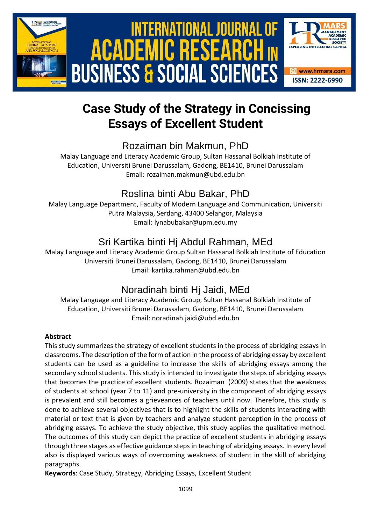

# International Journal of Academic Research in Business and Social Sciences **Vol. 1 1 , No. 4, 2021, E-ISSN: 2222-6990 © 2021 HRMARS ACADEMIC BUSINESS & SOCIAL SCIENCES**



# **Case Study of the Strategy in Concissing Essays of Excellent Student**

## Rozaiman bin Makmun, PhD

Malay Language and Literacy Academic Group, Sultan Hassanal Bolkiah Institute of Education, Universiti Brunei Darussalam, Gadong, BE1410, Brunei Darussalam Email: rozaiman.makmun@ubd.edu.bn

## Roslina binti Abu Bakar, PhD

Malay Language Department, Faculty of Modern Language and Communication, Universiti Putra Malaysia, Serdang, 43400 Selangor, Malaysia Email: lynabubakar@upm.edu.my

## Sri Kartika binti Hj Abdul Rahman, MEd

Malay Language and Literacy Academic Group Sultan Hassanal Bolkiah Institute of Education Universiti Brunei Darussalam, Gadong, BE1410, Brunei Darussalam Email: kartika.rahman@ubd.edu.bn

## Noradinah binti Hj Jaidi, MEd

Malay Language and Literacy Academic Group, Sultan Hassanal Bolkiah Institute of Education, Universiti Brunei Darussalam, Gadong, BE1410, Brunei Darussalam Email: noradinah.jaidi@ubd.edu.bn

### **Abstract**

This study summarizes the strategy of excellent students in the process of abridging essays in classrooms. The description of the form of action in the process of abridging essay by excellent students can be used as a guideline to increase the skills of abridging essays among the secondary school students. This study is intended to investigate the steps of abridging essays that becomes the practice of excellent students. Rozaiman (2009) states that the weakness of students at school (year 7 to 11) and pre-university in the component of abridging essays is prevalent and still becomes a grieveances of teachers until now. Therefore, this study is done to achieve several objectives that is to highlight the skills of students interacting with material or text that is given by teachers and analyze student perception in the process of abridging essays. To achieve the study objective, this study applies the qualitative method. The outcomes of this study can depict the practice of excellent students in abridging essays through three stages as effective guidance steps in teaching of abridging essays. In every level also is displayed various ways of overcoming weakness of student in the skill of abridging paragraphs.

**Keywords**: Case Study, Strategy, Abridging Essays, Excellent Student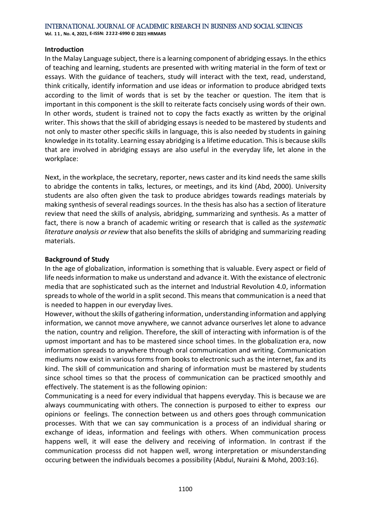#### **Introduction**

In the Malay Language subject, there is a learning component of abridging essays. In the ethics of teaching and learning, students are presented with writing material in the form of text or essays. With the guidance of teachers, study will interact with the text, read, understand, think critically, identify information and use ideas or information to produce abridged texts according to the limit of words that is set by the teacher or question. The item that is important in this component is the skill to reiterate facts concisely using words of their own. In other words, student is trained not to copy the facts exactly as written by the original writer. This shows that the skill of abridging essays is needed to be mastered by students and not only to master other specific skills in language, this is also needed by students in gaining knowledge in its totality. Learning essay abridging is a lifetime education. This is because skills that are involved in abridging essays are also useful in the everyday life, let alone in the workplace:

Next, in the workplace, the secretary, reporter, news caster and its kind needs the same skills to abridge the contents in talks, lectures, or meetings, and its kind (Abd, 2000). University students are also often given the task to produce abridges towards readings materials by making synthesis of several readings sources. In the thesis has also has a section of literature review that need the skills of analysis, abridging, summarizing and synthesis. As a matter of fact, there is now a branch of academic writing or research that is called as the *systematic literature analysis or review* that also benefits the skills of abridging and summarizing reading materials.

#### **Background of Study**

In the age of globalization, information is something that is valuable. Every aspect or field of life needs information to make us understand and advance it. With the existance of electronic media that are sophisticated such as the internet and Industrial Revolution 4.0, information spreads to whole of the world in a split second. This means that communication is a need that is needed to happen in our everyday lives.

However, without the skills of gathering information, understanding information and applying information, we cannot move anywhere, we cannot advance ourserlves let alone to advance the nation, country and religion. Therefore, the skill of interacting with information is of the upmost important and has to be mastered since school times. In the globalization era, now information spreads to anywhere through oral communication and writing. Communication mediums now exist in various forms from books to electronic such as the internet, fax and its kind. The skill of communication and sharing of information must be mastered by students since school times so that the process of communication can be practiced smoothly and effectively. The statement is as the following opinion:

Communicating is a need for every individual that happens everyday. This is because we are always coummunicating with others. The connection is purposed to either to express our opinions or feelings. The connection between us and others goes through communication processes. With that we can say communication is a process of an individual sharing or exchange of ideas, information and feelings with others. When communication process happens well, it will ease the delivery and receiving of information. In contrast if the communication processs did not happen well, wrong interpretation or misunderstanding occuring between the individuals becomes a possibility (Abdul, Nuraini & Mohd, 2003:16).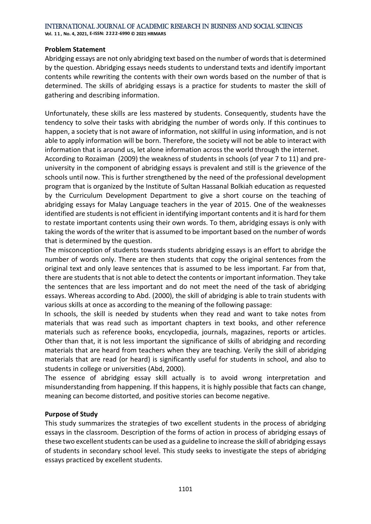**Vol. 1 1 , No. 4, 2021, E-ISSN: 2222-6990 © 2021 HRMARS**

#### **Problem Statement**

Abridging essays are not only abridging text based on the number of words that is determined by the question. Abridging essays needs students to understand texts and identify important contents while rewriting the contents with their own words based on the number of that is determined. The skills of abridging essays is a practice for students to master the skill of gathering and describing information.

Unfortunately, these skills are less mastered by students. Consequently, students have the tendency to solve their tasks with abridging the number of words only. If this continues to happen, a society that is not aware of information, not skillful in using information, and is not able to apply information will be born. Therefore, the society will not be able to interact with information that is around us, let alone information across the world through the internet.

According to Rozaiman (2009) the weakness of students in schools (of year 7 to 11) and preuniversity in the component of abridging essays is prevalent and still is the grievence of the schools until now. This is further strengthened by the need of the professional development program that is organized by the Institute of Sultan Hassanal Bolkiah education as requested by the Curriculum Development Department to give a short course on the teaching of abridging essays for Malay Language teachers in the year of 2015. One of the weaknesses identified are students is not efficient in identifying important contents and it is hard for them to restate important contents using their own words. To them, abridging essays is only with taking the words of the writer that is assumed to be important based on the number of words that is determined by the question.

The misconception of students towards students abridging essays is an effort to abridge the number of words only. There are then students that copy the original sentences from the original text and only leave sentences that is assumed to be less important. Far from that, there are students that is not able to detect the contents or important information. They take the sentences that are less important and do not meet the need of the task of abridging essays. Whereas according to Abd. (2000), the skill of abridging is able to train students with various skills at once as according to the meaning of the following passage:

In schools, the skill is needed by students when they read and want to take notes from materials that was read such as important chapters in text books, and other reference materials such as reference books, encyclopedia, journals, magazines, reports or articles. Other than that, it is not less important the significance of skills of abridging and recording materials that are heard from teachers when they are teaching. Verily the skill of abridging materials that are read (or heard) is significantly useful for students in school, and also to students in college or universities (Abd, 2000).

The essence of abridging essay skill actually is to avoid wrong interpretation and misunderstanding from happening. If this happens, it is highly possible that facts can change, meaning can become distorted, and positive stories can become negative.

#### **Purpose of Study**

This study summarizes the strategies of two excellent students in the process of abridging essays in the classroom. Description of the forms of action in process of abridging essays of these two excellent students can be used as a guideline to increase the skill of abridging essays of students in secondary school level. This study seeks to investigate the steps of abridging essays practiced by excellent students.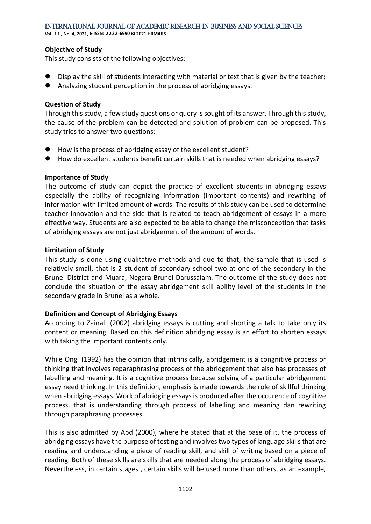**Vol. 1 1 , No. 4, 2021, E-ISSN: 2222-6990 © 2021 HRMARS**

#### **Objective of Study**

This study consists of the following objectives:

- Display the skill of students interacting with material or text that is given by the teacher;
- ⚫ Analyzing student perception in the process of abridging essays.

#### **Question of Study**

Through this study, a few study questions or query is sought of its answer. Through this study, the cause of the problem can be detected and solution of problem can be proposed. This study tries to answer two questions:

- How is the process of abridging essay of the excellent student?
- How do excellent students benefit certain skills that is needed when abridging essays?

#### **Importance of Study**

The outcome of study can depict the practice of excellent students in abridging essays especially the ability of recognizing information (important contents) and rewriting of information with limited amount of words. The results of this study can be used to determine teacher innovation and the side that is related to teach abridgement of essays in a more effective way. Students are also expected to be able to change the misconception that tasks of abridging essays are not just abridgement of the amount of words.

#### **Limitation of Study**

This study is done using qualitative methods and due to that, the sample that is used is relatively small, that is 2 student of secondary school two at one of the secondary in the Brunei District and Muara, Negara Brunei Darussalam. The outcome of the study does not conclude the situation of the essay abridgement skill ability level of the students in the secondary grade in Brunei as a whole.

#### **Definition and Concept of Abridging Essays**

According to Zainal (2002) abridging essays is cutting and shorting a talk to take only its content or meaning. Based on this definition abridging essay is an effort to shorten essays with taking the important contents only.

While Ong (1992) has the opinion that intrinsically, abridgement is a congnitive process or thinking that involves reparaphrasing process of the abridgement that also has processes of labelling and meaning. It is a cognitive process because solving of a particular abridgement essay need thinking. In this definition, emphasis is made towards the role of skillful thinking when abridging essays. Work of abridging essays is produced after the occurence of cognitive process, that is understanding through process of labelling and meaning dan rewriting through paraphrasing processes.

This is also admitted by Abd (2000), where he stated that at the base of it, the process of abridging essays have the purpose of testing and involves two types of language skills that are reading and understanding a piece of reading skill, and skill of writing based on a piece of reading. Both of these skills are skills that are needed along the process of abridging essays. Nevertheless, in certain stages , certain skills will be used more than others, as an example,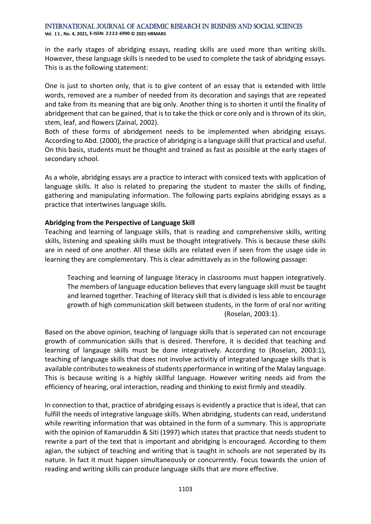**Vol. 1 1 , No. 4, 2021, E-ISSN: 2222-6990 © 2021 HRMARS**

in the early stages of abridging essays, reading skills are used more than writing skills. However, these language skills is needed to be used to complete the task of abridging essays. This is as the following statement:

One is just to shorten only, that is to give content of an essay that is extended with little words, removed are a number of needed from its decoration and sayings that are repeated and take from its meaning that are big only. Another thing is to shorten it until the finality of abridgement that can be gained, that is to take the thick or core only and is thrown of its skin, stem, leaf, and flowers (Zainal, 2002).

Both of these forms of abridgement needs to be implemented when abridging essays. According to Abd. (2000), the practice of abridging is a language skilll that practical and useful. On this basis, students must be thought and trained as fast as possible at the early stages of secondary school.

As a whole, abridging essays are a practice to interact with consiced texts with application of language skills. It also is related to preparing the student to master the skills of finding, gathering and manipulating information. The following parts explains abridging essays as a practice that intertwines language skills.

### **Abridging from the Perspective of Language Skill**

Teaching and learning of language skills, that is reading and comprehensive skills, writing skills, listening and speaking skills must be thought integratively. This is because these skills are in need of one another. All these skills are related even if seen from the usage side in learning they are complementary. This is clear admittavely as in the following passage:

Teaching and learning of language literacy in classrooms must happen integratively. The members of language education believes that every language skill must be taught and learned together. Teaching of literacy skill that is divided is less able to encourage growth of high communication skill between students, in the form of oral nor writing (Roselan, 2003:1).

Based on the above opinion, teaching of language skills that is seperated can not encourage growth of communication skills that is desired. Therefore, it is decided that teaching and learning of langauge skills must be done integratively. According to (Roselan, 2003:1), teaching of language skills that does not involve activitiy of integrated language skills that is available contributes to weakness of students pperformance in writing of the Malay language. This is because writing is a highly skillful language. However writing needs aid from the efficiency of hearing, oral interaction, reading and thinking to exist firmly and steadily.

In connection to that, practice of abridging essays is evidently a practice that is ideal, that can fulfill the needs of integrative language skills. When abridging, students can read, understand while rewriting information that was obtained in the form of a summary. This is appropriate with the opinion of Kamaruddin & Siti (1997) which states that practice that needs student to rewrite a part of the text that is important and abridging is encouraged. According to them agian, the subject of teaching and writing that is taught in schools are not seperated by its nature. In fact it must happen simultaneously or concurrently. Focus towards the union of reading and writing skills can produce language skills that are more effective.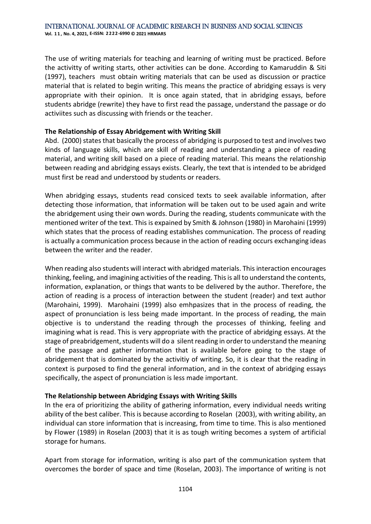The use of writing materials for teaching and learning of writing must be practiced. Before the activitty of writing starts, other activities can be done. According to Kamaruddin & Siti (1997), teachers must obtain writing materials that can be used as discussion or practice material that is related to begin writing. This means the practice of abridging essays is very appropriate with their opinion. It is once again stated, that in abridging essays, before students abridge (rewrite) they have to first read the passage, understand the passage or do activiites such as discussing with friends or the teacher.

#### **The Relationship of Essay Abridgement with Writing Skill**

Abd. (2000) states that basically the process of abridging is purposed to test and involves two kinds of language skills, which are skill of reading and understanding a piece of reading material, and writing skill based on a piece of reading material. This means the relationship between reading and abridging essays exists. Clearly, the text that is intended to be abridged must first be read and understood by students or readers.

When abridging essays, students read consiced texts to seek available information, after detecting those information, that information will be taken out to be used again and write the abridgement using their own words. During the reading, students communicate with the mentioned writer of the text. This is expained by Smith & Johnson (1980) in Marohaini (1999) which states that the process of reading establishes communication. The process of reading is actually a communication process because in the action of reading occurs exchanging ideas between the writer and the reader.

When reading also students will interact with abridged materials. This interaction encourages thinking, feeling, and imagining activities of the reading. This is all to understand the contents, information, explanation, or things that wants to be delivered by the author. Therefore, the action of reading is a process of interaction between the student (reader) and text author (Marohaini, 1999). Marohaini (1999) also emhpasizes that in the process of reading, the aspect of pronunciation is less being made important. In the process of reading, the main objective is to understand the reading through the processes of thinking, feeling and imagining what is read. This is very appropriate with the practice of abridging essays. At the stage of preabridgement, students will do a silent reading in order to understand the meaning of the passage and gather information that is available before going to the stage of abridgement that is dominated by the activitiy of writing. So, it is clear that the reading in context is purposed to find the general information, and in the context of abridging essays specifically, the aspect of pronunciation is less made important.

#### **The Relationship between Abridging Essays with Writing Skills**

In the era of prioritizing the ability of gathering information, every individual needs writing ability of the best caliber. This is because according to Roselan (2003), with writing ability, an individual can store information that is increasing, from time to time. This is also mentioned by Flower (1989) in Roselan (2003) that it is as tough writing becomes a system of artificial storage for humans.

Apart from storage for information, writing is also part of the communication system that overcomes the border of space and time (Roselan, 2003). The importance of writing is not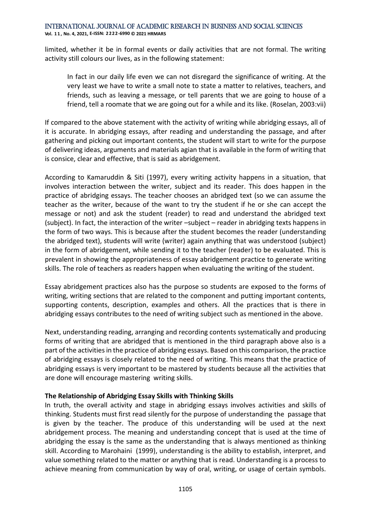**Vol. 1 1 , No. 4, 2021, E-ISSN: 2222-6990 © 2021 HRMARS**

limited, whether it be in formal events or daily activities that are not formal. The writing activity still colours our lives, as in the following statement:

In fact in our daily life even we can not disregard the significance of writing. At the very least we have to write a small note to state a matter to relatives, teachers, and friends, such as leaving a message, or tell parents that we are going to house of a friend, tell a roomate that we are going out for a while and its like. (Roselan, 2003:vii)

If compared to the above statement with the activity of writing while abridging essays, all of it is accurate. In abridging essays, after reading and understanding the passage, and after gathering and picking out important contents, the student will start to write for the purpose of delivering ideas, arguments and materials agian that is available in the form of writing that is consice, clear and effective, that is said as abridgement.

According to Kamaruddin & Siti (1997), every writing activity happens in a situation, that involves interaction between the writer, subject and its reader. This does happen in the practice of abridging essays. The teacher chooses an abridged text (so we can assume the teacher as the writer, because of the want to try the student if he or she can accept the message or not) and ask the student (reader) to read and understand the abridged text (subject). In fact, the interaction of the writer –subject – reader in abridging texts happens in the form of two ways. This is because after the student becomes the reader (understanding the abridged text), students will write (writer) again anything that was understood (subject) in the form of abridgement, while sending it to the teacher (reader) to be evaluated. This is prevalent in showing the appropriateness of essay abridgement practice to generate writing skills. The role of teachers as readers happen when evaluating the writing of the student.

Essay abridgement practices also has the purpose so students are exposed to the forms of writing, writing sections that are related to the component and putting important contents, supporting contents, description, examples and others. All the practices that is there in abridging essays contributes to the need of writing subject such as mentioned in the above.

Next, understanding reading, arranging and recording contents systematically and producing forms of writing that are abridged that is mentioned in the third paragraph above also is a part of the activities in the practice of abridging essays. Based on this comparison, the practice of abridging essays is closely related to the need of writing. This means that the practice of abridging essays is very important to be mastered by students because all the activities that are done will encourage mastering writing skills.

#### **The Relationship of Abridging Essay Skills with Thinking Skills**

In truth, the overall activity and stage in abridging essays involves activities and skills of thinking. Students must first read silently for the purpose of understanding the passage that is given by the teacher. The produce of this understanding will be used at the next abridgement process. The meaning and understanding concept that is used at the time of abridging the essay is the same as the understanding that is always mentioned as thinking skill. According to Marohaini (1999), understanding is the ability to establish, interpret, and value something related to the matter or anything that is read. Understanding is a process to achieve meaning from communication by way of oral, writing, or usage of certain symbols.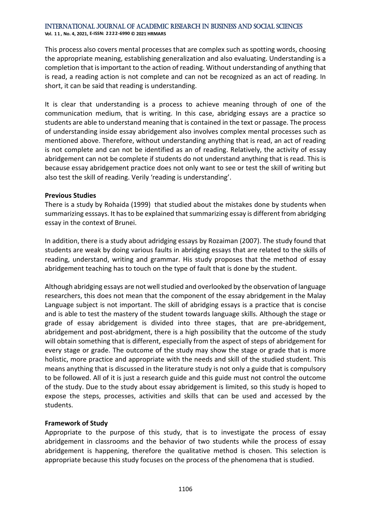**Vol. 1 1 , No. 4, 2021, E-ISSN: 2222-6990 © 2021 HRMARS**

This process also covers mental processes that are complex such as spotting words, choosing the appropriate meaning, establishing generalization and also evaluating. Understanding is a completion that is important to the action of reading. Without understanding of anything that is read, a reading action is not complete and can not be recognized as an act of reading. In short, it can be said that reading is understanding.

It is clear that understanding is a process to achieve meaning through of one of the communication medium, that is writing. In this case, abridging essays are a practice so students are able to understand meaning that is contained in the text or passage. The process of understanding inside essay abridgement also involves complex mental processes such as mentioned above. Therefore, without understanding anything that is read, an act of reading is not complete and can not be identified as an of reading. Relatively, the activity of essay abridgement can not be complete if students do not understand anything that is read. This is because essay abridgement practice does not only want to see or test the skill of writing but also test the skill of reading. Verily 'reading is understanding'.

#### **Previous Studies**

There is a study by Rohaida (1999) that studied about the mistakes done by students when summarizing esssays. It has to be explained that summarizing essay is different from abridging essay in the context of Brunei.

In addition, there is a study about adridging essays by Rozaiman (2007). The study found that students are weak by doing various faults in abridging essays that are related to the skills of reading, understand, writing and grammar. His study proposes that the method of essay abridgement teaching has to touch on the type of fault that is done by the student.

Although abridging essays are not well studied and overlooked by the observation of language researchers, this does not mean that the component of the essay abridgement in the Malay Language subject is not important. The skill of abridging essays is a practice that is concise and is able to test the mastery of the student towards language skills. Although the stage or grade of essay abridgement is divided into three stages, that are pre-abridgement, abridgement and post-abridgment, there is a high possibility that the outcome of the study will obtain something that is different, especially from the aspect of steps of abridgement for every stage or grade. The outcome of the study may show the stage or grade that is more holistic, more practice and appropriate with the needs and skill of the studied student. This means anything that is discussed in the literature study is not only a guide that is compulsory to be followed. All of it is just a research guide and this guide must not control the outcome of the study. Due to the study about essay abridgement is limited, so this study is hoped to expose the steps, processes, activities and skills that can be used and accessed by the students.

### **Framework of Study**

Appropriate to the purpose of this study, that is to investigate the process of essay abridgement in classrooms and the behavior of two students while the process of essay abridgement is happening, therefore the qualitative method is chosen. This selection is appropriate because this study focuses on the process of the phenomena that is studied.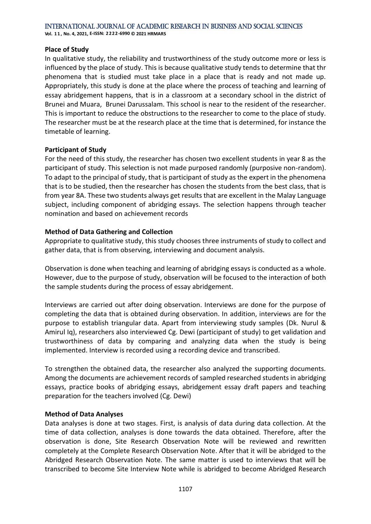#### **Place of Study**

In qualitative study, the reliability and trustworthiness of the study outcome more or less is influenced by the place of study. This is because qualitative study tends to determine that thr phenomena that is studied must take place in a place that is ready and not made up. Appropriately, this study is done at the place where the process of teaching and learning of essay abridgement happens, that is in a classroom at a secondary school in the district of Brunei and Muara, Brunei Darussalam. This school is near to the resident of the researcher. This is important to reduce the obstructions to the researcher to come to the place of study. The researcher must be at the research place at the time that is determined, for instance the timetable of learning.

#### **Participant of Study**

For the need of this study, the researcher has chosen two excellent students in year 8 as the participant of study. This selection is not made purposed randomly (purposive non-random). To adapt to the principal of study, that is participant of study as the expert in the phenomena that is to be studied, then the researcher has chosen the students from the best class, that is from year 8A. These two students always get results that are excellent in the Malay Language subject, including component of abridging essays. The selection happens through teacher nomination and based on achievement records

#### **Method of Data Gathering and Collection**

Appropriate to qualitative study, this study chooses three instruments of study to collect and gather data, that is from observing, interviewing and document analysis.

Observation is done when teaching and learning of abridging essays is conducted as a whole. However, due to the purpose of study, observation will be focused to the interaction of both the sample students during the process of essay abridgement.

Interviews are carried out after doing observation. Interviews are done for the purpose of completing the data that is obtained during observation. In addition, interviews are for the purpose to establish triangular data. Apart from interviewing study samples (Dk. Nurul & Amirul Iq), researchers also interviewed Cg. Dewi (participant of study) to get validation and trustworthiness of data by comparing and analyzing data when the study is being implemented. Interview is recorded using a recording device and transcribed.

To strengthen the obtained data, the researcher also analyzed the supporting documents. Among the documents are achievement records of sampled researched students in abridging essays, practice books of abridging essays, abridgement essay draft papers and teaching preparation for the teachers involved (Cg. Dewi)

### **Method of Data Analyses**

Data analyses is done at two stages. First, is analysis of data during data collection. At the time of data collection, analyses is done towards the data obtained. Therefore, after the observation is done, Site Research Observation Note will be reviewed and rewritten completely at the Complete Research Observation Note. After that it will be abridged to the Abridged Research Observation Note. The same matter is used to interviews that will be transcribed to become Site Interview Note while is abridged to become Abridged Research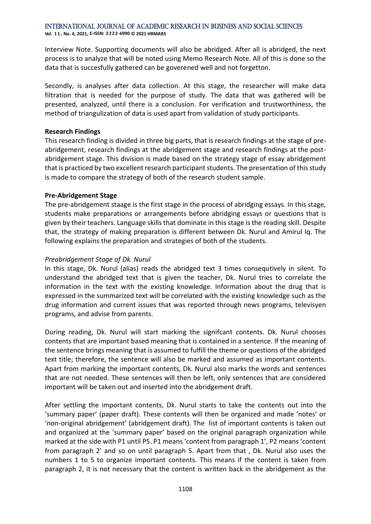Interview Note. Supporting documents will also be abridged. After all is abridged, the next process is to analyze that will be noted using Memo Research Note. All of this is done so the data that is succesfully gathered can be goverened well and not forgetton.

Secondly, is analyses after data collection. At this stage, the researcher will make data filtration that is needed for the purpose of study. The data that was gathered will be presented, analyzed, until there is a conclusion. For verification and trustworthiness, the method of triangulization of data is used apart from validation of study participants.

#### **Research Findings**

This research finding is divided in three big parts, that is research findings at the stage of preabridgement, research findings at the abridgement stage and research findings at the postabridgement stage. This division is made based on the strategy stage of essay abridgement that is practiced by two excellent research participant students. The presentation of this study is made to compare the strategy of both of the research student sample.

#### **Pre-Abridgement Stage**

The pre-abridgement staage is the first stage in the process of abridging essays. In this stage, students make preparations or arrangements before abridging essays or questions that is given by their teachers. Language skills that dominate in this stage is the reading skill. Despite that, the strategy of making preparation is different between Dk. Nurul and Amirul Iq. The following explains the preparation and strategies of both of the students.

#### *Preabridgement Stage of Dk. Nurul*

In this stage, Dk. Nurul (alias) reads the abridged text 3 times consequtively in silent. To understand the abridged text that is given the teacher, Dk. Nurul tries to correlate the information in the text with the existing knowledge. Information about the drug that is expressed in the summarized text will be correlated with the existing knowledge such as the drug information and current issues that was reported through news programs, televisyen programs, and advise from parents.

During reading, Dk. Nurul will start marking the signifcant contents. Dk. Nurul chooses contents that are important based meaning that is contained in a sentence. If the meaning of the sentence brings meaning that is assumed to fulfill the theme or questions of the abridged text title; therefore, the sentence will also be marked and assumed as important contents. Apart from marking the important contents, Dk. Nurul also marks the words and sentences that are not needed. These sentences will then be left, only sentences that are considered important will be taken out and inserted into the abridgement draft.

After settling the important contents, Dk. Nurul starts to take the contents out into the 'summary paper' (paper draft). These contents will then be organized and made 'notes' or 'non-original abridgement' (abridgement draft). The list of important contents is taken out and organized at the 'summary paper' based on the original paragraph organization while marked at the side with P1 until P5. P1 means 'content from paragraph 1', P2 means 'content from paragraph 2' and so on until paragraph 5. Apart from that , Dk. Nurul also uses the numbers 1 to 5 to organize important contents. This means if the content is taken from paragraph 2, it is not necessary that the content is written back in the abridgement as the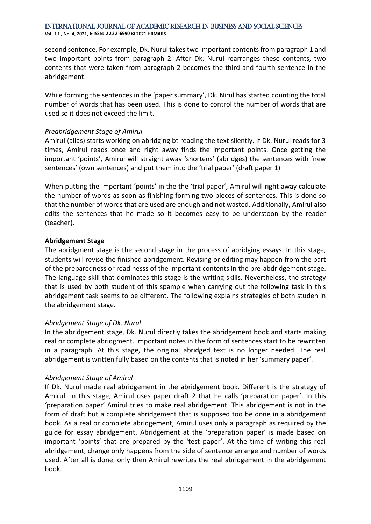second sentence. For example, Dk. Nurul takes two important contents from paragraph 1 and two important points from paragraph 2. After Dk. Nurul rearranges these contents, two contents that were taken from paragraph 2 becomes the third and fourth sentence in the abridgement.

While forming the sentences in the 'paper summary', Dk. Nirul has started counting the total number of words that has been used. This is done to control the number of words that are used so it does not exceed the limit.

#### *Preabridgement Stage of Amirul*

Amirul (alias) starts working on abridging bt reading the text silently. If Dk. Nurul reads for 3 times, Amirul reads once and right away finds the important points. Once getting the important 'points', Amirul will straight away 'shortens' (abridges) the sentences with 'new sentences' (own sentences) and put them into the 'trial paper' (draft paper 1)

When putting the important 'points' in the the 'trial paper', Amirul will right away calculate the number of words as soon as finishing forming two pieces of sentences. This is done so that the number of words that are used are enough and not wasted. Additionally, Amirul also edits the sentences that he made so it becomes easy to be understoon by the reader (teacher).

#### **Abridgement Stage**

The abridgment stage is the second stage in the process of abridging essays. In this stage, students will revise the finished abridgement. Revising or editing may happen from the part of the preparedness or readinesss of the important contents in the pre-abdridgement stage. The language skill that dominates this stage is the writing skills. Nevertheless, the strategy that is used by both student of this spample when carrying out the following task in this abridgement task seems to be different. The following explains strategies of both studen in the abridgement stage.

### *Abridgement Stage of Dk. Nurul*

In the abridgement stage, Dk. Nurul directly takes the abridgement book and starts making real or complete abridgment. Important notes in the form of sentences start to be rewritten in a paragraph. At this stage, the original abridged text is no longer needed. The real abridgement is written fully based on the contents that is noted in her 'summary paper'.

#### *Abridgement Stage of Amirul*

If Dk. Nurul made real abridgement in the abridgement book. Different is the strategy of Amirul. In this stage, Amirul uses paper draft 2 that he calls 'preparation paper'. In this 'preparation paper' Amirul tries to make real abridgement. This abridgement is not in the form of draft but a complete abridgement that is supposed too be done in a abridgement book. As a real or complete abridgement, Amirul uses only a paragraph as required by the guide for essay abridgement. Abridgement at the 'preparation paper' is made based on important 'points' that are prepared by the 'test paper'. At the time of writing this real abridgement, change only happens from the side of sentence arrange and number of words used. After all is done, only then Amirul rewrites the real abridgement in the abridgement book.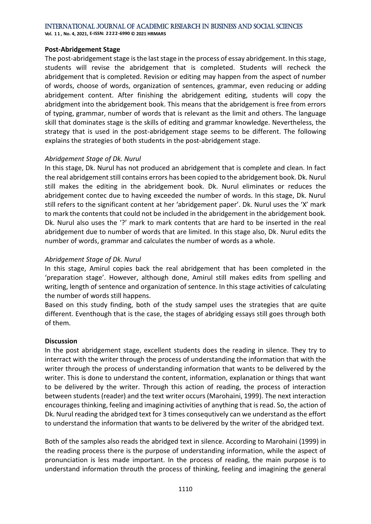**Vol. 1 1 , No. 4, 2021, E-ISSN: 2222-6990 © 2021 HRMARS**

#### **Post-Abridgement Stage**

The post-abridgement stage is the last stage in the process of essay abridgement. In this stage, students will revise the abridgement that is completed. Students will recheck the abridgement that is completed. Revision or editing may happen from the aspect of number of words, choose of words, organization of sentences, grammar, even reducing or adding abridgement content. After finishing the abridgement editing, students will copy the abridgment into the abridgement book. This means that the abridgement is free from errors of typing, grammar, number of words that is relevant as the limit and others. The language skill that dominates stage is the skills of editing and grammar knowledge. Nevertheless, the strategy that is used in the post-abridgement stage seems to be different. The following explains the strategies of both students in the post-abridgement stage.

#### *Abridgement Stage of Dk. Nurul*

In this stage, Dk. Nurul has not produced an abridgement that is complete and clean. In fact the real abridgement still contains errors has been copied to the abridgement book. Dk. Nurul still makes the editing in the abridgement book. Dk. Nurul eliminates or reduces the abridgement contec due to having exceeded the number of words. In this stage, Dk. Nurul still refers to the significant content at her 'abridgement paper'. Dk. Nurul uses the 'X' mark to mark the contents that could not be included in the abridgement in the abridgement book. Dk. Nurul also uses the '?' mark to mark contents that are hard to be inserted in the real abridgement due to number of words that are limited. In this stage also, Dk. Nurul edits the number of words, grammar and calculates the number of words as a whole.

#### *Abridgement Stage of Dk. Nurul*

In this stage, Amirul copies back the real abridgement that has been completed in the 'preparation stage'. However, although done, Amirul still makes edits from spelling and writing, length of sentence and organization of sentence. In this stage activities of calculating the number of words still happens.

Based on this study finding, both of the study sampel uses the strategies that are quite different. Eventhough that is the case, the stages of abridging essays still goes through both of them.

#### **Discussion**

In the post abridgement stage, excellent students does the reading in silence. They try to interract with the writer through the process of understanding the information that with the writer through the process of understanding information that wants to be delivered by the writer. This is done to understand the content, information, explanation or things that want to be delivered by the writer. Through this action of reading, the process of interaction between students (reader) and the text writer occurs (Marohaini, 1999). The next interaction encourages thinking, feeling and imagining activities of anything that is read. So, the action of Dk. Nurul reading the abridged text for 3 times consequtively can we understand as the effort to understand the information that wants to be delivered by the writer of the abridged text.

Both of the samples also reads the abridged text in silence. According to Marohaini (1999) in the reading process there is the purpose of understanding information, while the aspect of pronunciation is less made important. In the process of reading, the main purpose is to understand information throuth the process of thinking, feeling and imagining the general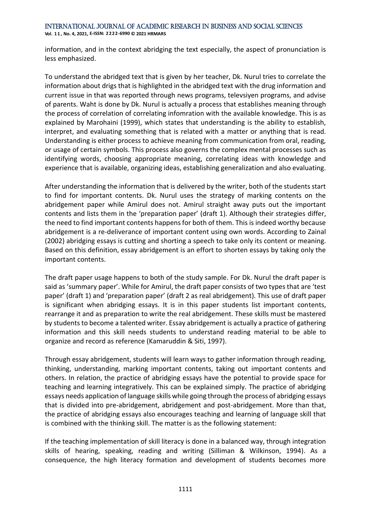information, and in the context abridging the text especially, the aspect of pronunciation is less emphasized.

To understand the abridged text that is given by her teacher, Dk. Nurul tries to correlate the information about drigs that is highlighted in the abridged text with the drug information and current issue in that was reported through news programs, televsiyen programs, and advise of parents. Waht is done by Dk. Nurul is actually a process that establishes meaning through the process of correlation of correlating infomration with the available knowledge. This is as explained by Marohaini (1999), which states that understanding is the ability to establish, interpret, and evaluating something that is related with a matter or anything that is read. Understanding is either process to achieve meaning from communication from oral, reading, or usage of certain symbols. This process also governs the complex mental processes such as identifying words, choosing appropriate meaning, correlating ideas with knowledge and experience that is available, organizing ideas, establishing generalization and also evaluating.

After understanding the information that is delivered by the writer, both of the students start to find for important contents. Dk. Nurul uses the strategy of marking contents on the abridgement paper while Amirul does not. Amirul straight away puts out the important contents and lists them in the 'preparation paper' (draft 1). Although their strategies differ, the need to find important contents happens for both of them. This is indeed worthy because abridgement is a re-deliverance of important content using own words. According to Zainal (2002) abridging essays is cutting and shorting a speech to take only its content or meaning. Based on this definition, essay abridgement is an effort to shorten essays by taking only the important contents.

The draft paper usage happens to both of the study sample. For Dk. Nurul the draft paper is said as 'summary paper'. While for Amirul, the draft paper consists of two types that are 'test paper' (draft 1) and 'preparation paper' (draft 2 as real abridgement). This use of draft paper is significant when abridging essays. It is in this paper students list important contents, rearrange it and as preparation to write the real abridgement. These skills must be mastered by students to become a talented writer. Essay abridgement is actually a practice of gathering information and this skill needs students to understand reading material to be able to organize and record as reference (Kamaruddin & Siti, 1997).

Through essay abridgement, students will learn ways to gather information through reading, thinking, understanding, marking important contents, taking out important contents and others. In relation, the practice of abridging essays have the potential to provide space for teaching and learning integratively. This can be explained simply. The practice of abridging essays needs application of language skills while going through the process of abridging essays that is divided into pre-abridgement, abridgement and post-abridgement. More than that, the practice of abridging essays also encourages teaching and learning of language skill that is combined with the thinking skill. The matter is as the following statement:

If the teaching implementation of skill literacy is done in a balanced way, through integration skills of hearing, speaking, reading and writing (Silliman & Wilkinson, 1994). As a consequence, the high literacy formation and development of students becomes more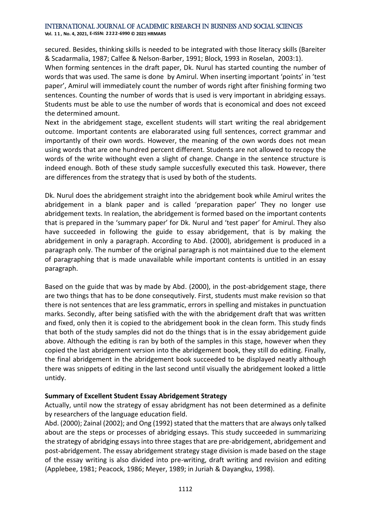**Vol. 1 1 , No. 4, 2021, E-ISSN: 2222-6990 © 2021 HRMARS**

secured. Besides, thinking skills is needed to be integrated with those literacy skills (Bareiter & Scadarmalia, 1987; Calfee & Nelson-Barber, 1991; Block, 1993 in Roselan, 2003:1).

When forming sentences in the draft paper, Dk. Nurul has started counting the number of words that was used. The same is done by Amirul. When inserting important 'points' in 'test paper', Amirul will immediately count the number of words right after finishing forming two sentences. Counting the number of words that is used is very important in abridging essays. Students must be able to use the number of words that is economical and does not exceed the determined amount.

Next in the abridgement stage, excellent students will start writing the real abridgement outcome. Important contents are elaborarated using full sentences, correct grammar and importantly of their own words. However, the meaning of the own words does not mean using words that are one hundred percent different. Students are not allowed to recopy the words of the write withought even a slight of change. Change in the sentence structure is indeed enough. Both of these study sample succesfully executed this task. However, there are differences from the strategy that is used by both of the students.

Dk. Nurul does the abridgement straight into the abridgement book while Amirul writes the abridgement in a blank paper and is called 'preparation paper' They no longer use abridgement texts. In realation, the abridgement is formed based on the important contents that is prepared in the 'summary paper' for Dk. Nurul and 'test paper' for Amirul. They also have succeeded in following the guide to essay abridgement, that is by making the abridgement in only a paragraph. According to Abd. (2000), abridgement is produced in a paragraph only. The number of the original paragraph is not maintained due to the element of paragraphing that is made unavailable while important contents is untitled in an essay paragraph.

Based on the guide that was by made by Abd. (2000), in the post-abridgement stage, there are two things that has to be done consequtively. First, students must make revision so that there is not sentences that are less grammatic, errors in spelling and mistakes in punctuation marks. Secondly, after being satisfied with the with the abridgement draft that was written and fixed, only then it is copied to the abridgement book in the clean form. This study finds that both of the study samples did not do the things that is in the essay abridgement guide above. Although the editing is ran by both of the samples in this stage, however when they copied the last abridgement version into the abridgement book, they still do editing. Finally, the final abridgement in the abridgement book succeeded to be displayed neatly although there was snippets of editing in the last second until visually the abridgement looked a little untidy.

### **Summary of Excellent Student Essay Abridgement Strategy**

Actually, until now the strategy of essay abridgment has not been determined as a definite by researchers of the language education field.

Abd. (2000); Zainal (2002); and Ong (1992) stated that the matters that are always only talked about are the steps or processes of abridging essays. This study succeeded in summarizing the strategy of abridging essays into three stages that are pre-abridgement, abridgement and post-abridgement. The essay abridgement strategy stage division is made based on the stage of the essay writing is also divided into pre-writing, draft writing and revision and editing (Applebee, 1981; Peacock, 1986; Meyer, 1989; in Juriah & Dayangku, 1998).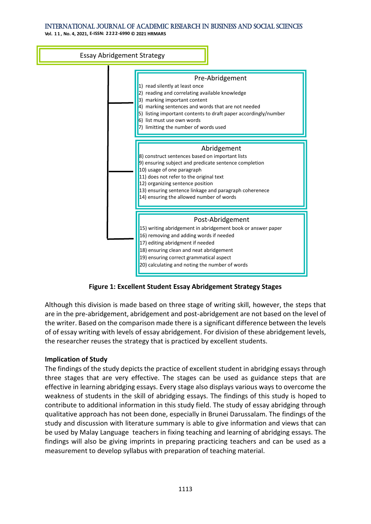**Vol. 1 1 , No. 4, 2021, E-ISSN: 2222-6990 © 2021 HRMARS**



**Figure 1: Excellent Student Essay Abridgement Strategy Stages**

Although this division is made based on three stage of writing skill, however, the steps that are in the pre-abridgement, abridgement and post-abridgement are not based on the level of the writer. Based on the comparison made there is a significant difference between the levels of of essay writing with levels of essay abridgement. For division of these abridgement levels, the researcher reuses the strategy that is practiced by excellent students.

#### **Implication of Study**

The findings of the study depicts the practice of excellent student in abridging essays through three stages that are very effective. The stages can be used as guidance steps that are effective in learning abridging essays. Every stage also displays various ways to overcome the weakness of students in the skill of abridging essays. The findings of this study is hoped to contribute to additional information in this study field. The study of essay abridging through qualitative approach has not been done, especially in Brunei Darussalam. The findings of the study and discussion with literature summary is able to give information and views that can be used by Malay Language teachers in fixing teaching and learning of abridging essays. The findings will also be giving imprints in preparing practicing teachers and can be used as a measurement to develop syllabus with preparation of teaching material.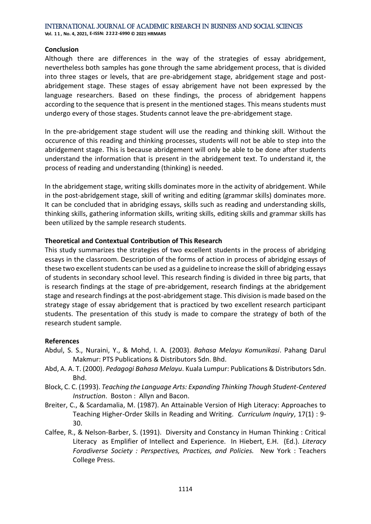#### **Conclusion**

Although there are differences in the way of the strategies of essay abridgement, nevertheless both samples has gone through the same abridgement process, that is divided into three stages or levels, that are pre-abridgement stage, abridgement stage and postabridgement stage. These stages of essay abrigement have not been expressed by the language researchers. Based on these findings, the process of abridgement happens according to the sequence that is present in the mentioned stages. This means students must undergo every of those stages. Students cannot leave the pre-abridgement stage.

In the pre-abridgement stage student will use the reading and thinking skill. Without the occurence of this reading and thinking processes, students will not be able to step into the abridgement stage. This is because abridgement will only be able to be done after students understand the information that is present in the abridgement text. To understand it, the process of reading and understanding (thinking) is needed.

In the abridgement stage, writing skills dominates more in the activity of abridgement. While in the post-abridgement stage, skill of writing and editing (grammar skills) dominates more. It can be concluded that in abridging essays, skills such as reading and understanding skills, thinking skills, gathering information skills, writing skills, editing skills and grammar skills has been utilized by the sample research students.

#### **Theoretical and Contextual Contribution of This Research**

This study summarizes the strategies of two excellent students in the process of abridging essays in the classroom. Description of the forms of action in process of abridging essays of these two excellent students can be used as a guideline to increase the skill of abridging essays of students in secondary school level. This research finding is divided in three big parts, that is research findings at the stage of pre-abridgement, research findings at the abridgement stage and research findings at the post-abridgement stage. This division is made based on the strategy stage of essay abridgement that is practiced by two excellent research participant students. The presentation of this study is made to compare the strategy of both of the research student sample.

#### **References**

- Abdul, S. S., Nuraini, Y., & Mohd, I. A. (2003). *Bahasa Melayu Komunikasi*. Pahang Darul Makmur: PTS Publications & Distributors Sdn. Bhd.
- Abd, A. A. T. (2000). *Pedagogi Bahasa Melayu*. Kuala Lumpur: Publications & Distributors Sdn. Bhd.
- Block, C. C. (1993). *Teaching the Language Arts: Expanding Thinking Though Student-Centered Instruction*. Boston : Allyn and Bacon.
- Breiter, C., & Scardamalia, M. (1987). An Attainable Version of High Literacy: Approaches to Teaching Higher-Order Skills in Reading and Writing. *Curriculum Inquiry*, 17(1) : 9- 30.
- Calfee, R., & Nelson-Barber, S. (1991). Diversity and Constancy in Human Thinking : Critical Literacy as Emplifier of Intellect and Experience. In Hiebert, E.H. (Ed.). *Literacy Foradiverse Society : Perspectives, Practices, and Policies.* New York : Teachers College Press.